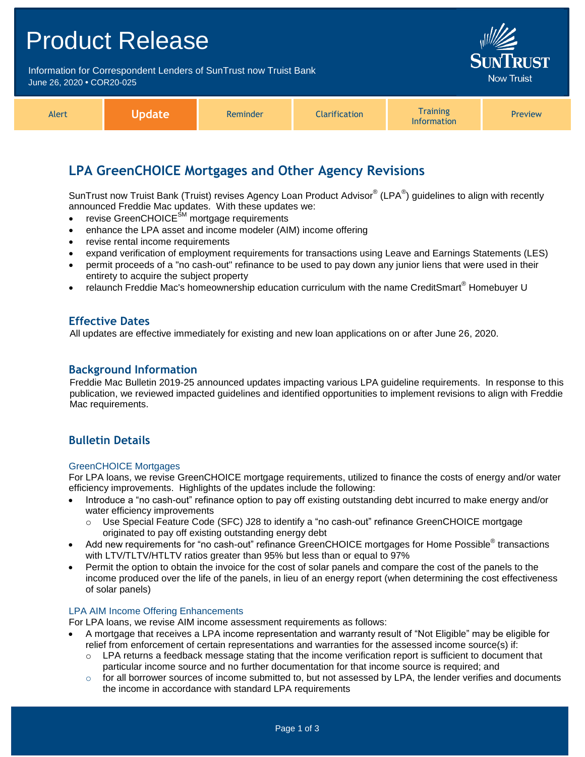| <b>Product Release</b>                                                                         |               |          |               |                                                                                               |         |  |
|------------------------------------------------------------------------------------------------|---------------|----------|---------------|-----------------------------------------------------------------------------------------------|---------|--|
| Information for Correspondent Lenders of SunTrust now Truist Bank<br>June 26, 2020 • COR20-025 |               |          |               | <b>SUNTRUST</b><br><b>Now Truist</b>                                                          |         |  |
| Alert                                                                                          | <b>Update</b> | Reminder | Clarification | <b>Training</b><br>$\mathbf{1}$ and $\mathbf{1}$ are also as a set of the set of $\mathbf{1}$ | Preview |  |

# **LPA GreenCHOICE Mortgages and Other Agency Revisions**

SunTrust now Truist Bank (Truist) revises Agency Loan Product Advisor® (LPA®) guidelines to align with recently announced Freddie Mac updates. With these updates we:

Information

- revise GreenCHOICE<sup>SM</sup> mortgage requirements
- enhance the LPA asset and income modeler (AIM) income offering
- revise rental income requirements
- expand verification of employment requirements for transactions using Leave and Earnings Statements (LES)
- permit proceeds of a "no cash-out" refinance to be used to pay down any junior liens that were used in their entirety to acquire the subject property
- relaunch Freddie Mac's homeownership education curriculum with the name CreditSmart® Homebuyer U

#### **Effective Dates**

All updates are effective immediately for existing and new loan applications on or after June 26, 2020.

#### **Background Information**

Freddie Mac Bulletin 2019-25 announced updates impacting various LPA guideline requirements. In response to this publication, we reviewed impacted guidelines and identified opportunities to implement revisions to align with Freddie Mac requirements.

#### **Bulletin Details**

#### GreenCHOICE Mortgages

For LPA loans, we revise GreenCHOICE mortgage requirements, utilized to finance the costs of energy and/or water efficiency improvements. Highlights of the updates include the following:

- Introduce a "no cash-out" refinance option to pay off existing outstanding debt incurred to make energy and/or water efficiency improvements
	- o Use Special Feature Code (SFC) J28 to identify a "no cash-out" refinance GreenCHOICE mortgage originated to pay off existing outstanding energy debt
- Add new requirements for "no cash-out" refinance GreenCHOICE mortgages for Home Possible<sup>®</sup> transactions with LTV/TLTV/HTLTV ratios greater than 95% but less than or equal to 97%
- Permit the option to obtain the invoice for the cost of solar panels and compare the cost of the panels to the income produced over the life of the panels, in lieu of an energy report (when determining the cost effectiveness of solar panels)

#### LPA AIM Income Offering Enhancements

For LPA loans, we revise AIM income assessment requirements as follows:

- A mortgage that receives a LPA income representation and warranty result of "Not Eligible" may be eligible for relief from enforcement of certain representations and warranties for the assessed income source(s) if:
	- $\circ$  LPA returns a feedback message stating that the income verification report is sufficient to document that particular income source and no further documentation for that income source is required; and
	- $\circ$  for all borrower sources of income submitted to, but not assessed by LPA, the lender verifies and documents the income in accordance with standard LPA requirements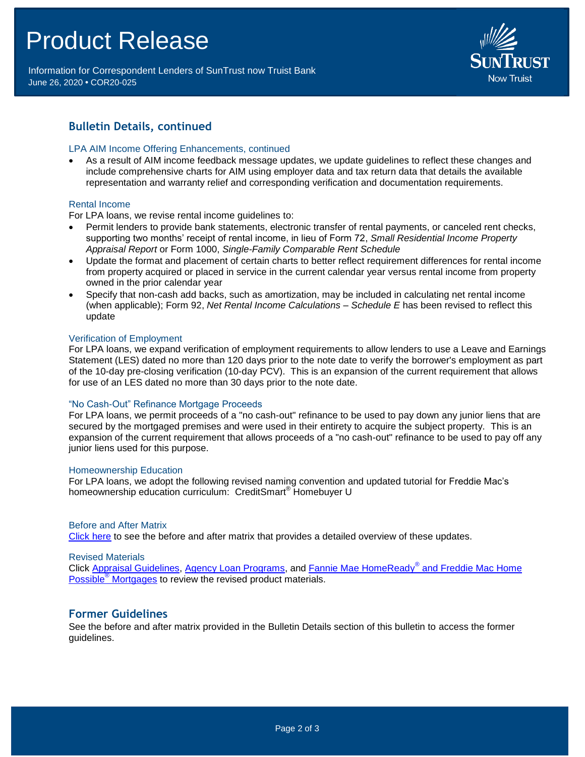# Product Release

Information for Correspondent Lenders of SunTrust now Truist Bank June 26, 2020 **•** COR20-025



### **Bulletin Details, continued**

#### LPA AIM Income Offering Enhancements, continued

 As a result of AIM income feedback message updates, we update guidelines to reflect these changes and include comprehensive charts for AIM using employer data and tax return data that details the available representation and warranty relief and corresponding verification and documentation requirements.

#### Rental Income

For LPA loans, we revise rental income guidelines to:

- Permit lenders to provide bank statements, electronic transfer of rental payments, or canceled rent checks, supporting two months' receipt of rental income, in lieu of Form 72, *Small Residential Income Property Appraisal Report* or Form 1000, *Single-Family Comparable Rent Schedule*
- Update the format and placement of certain charts to better reflect requirement differences for rental income from property acquired or placed in service in the current calendar year versus rental income from property owned in the prior calendar year
- Specify that non-cash add backs, such as amortization, may be included in calculating net rental income (when applicable); Form 92, *Net Rental Income Calculations – Schedule E* has been revised to reflect this update

#### Verification of Employment

For LPA loans, we expand verification of employment requirements to allow lenders to use a Leave and Earnings Statement (LES) dated no more than 120 days prior to the note date to verify the borrower's employment as part of the 10-day pre-closing verification (10-day PCV). This is an expansion of the current requirement that allows for use of an LES dated no more than 30 days prior to the note date.

#### "No Cash-Out" Refinance Mortgage Proceeds

For LPA loans, we permit proceeds of a "no cash-out" refinance to be used to pay down any junior liens that are secured by the mortgaged premises and were used in their entirety to acquire the subject property. This is an expansion of the current requirement that allows proceeds of a "no cash-out" refinance to be used to pay off any junior liens used for this purpose.

#### Homeownership Education

For LPA loans, we adopt the following revised naming convention and updated tutorial for Freddie Mac's homeownership education curriculum: CreditSmart<sup>®</sup> Homebuyer U

#### Before and After Matrix

[Click here](http://www.truistsellerguide.com/manual/cor/products/Cr20-025BA.pdf) to see the before and after matrix that provides a detailed overview of these updates.

#### Revised Materials

Click [Appraisal Guidelines,](https://www.truistsellerguide.com/Manual/cor/general/1.07Appraisals.pdf) [Agency Loan Programs,](https://www.truistsellerguide.com/manual/cor/products/CAgency.pdf) and [Fannie Mae HomeReady](https://www.truistsellerguide.com/Manual/cor/products/CHomeReadyandHomePossible.pdf)® and Freddie Mac Home Possible® [Mortgages](https://www.truistsellerguide.com/Manual/cor/products/CHomeReadyandHomePossible.pdf) to review the revised product materials.

#### **Former Guidelines**

See the before and after matrix provided in the Bulletin Details section of this bulletin to access the former guidelines.